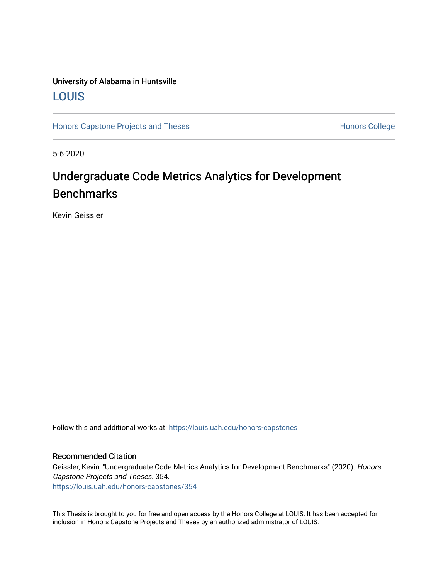# University of Alabama in Huntsville [LOUIS](https://louis.uah.edu/)

[Honors Capstone Projects and Theses](https://louis.uah.edu/honors-capstones) **Honors College** Honors College

5-6-2020

# Undergraduate Code Metrics Analytics for Development **Benchmarks**

Kevin Geissler

Follow this and additional works at: [https://louis.uah.edu/honors-capstones](https://louis.uah.edu/honors-capstones?utm_source=louis.uah.edu%2Fhonors-capstones%2F354&utm_medium=PDF&utm_campaign=PDFCoverPages) 

#### Recommended Citation

Geissler, Kevin, "Undergraduate Code Metrics Analytics for Development Benchmarks" (2020). Honors Capstone Projects and Theses. 354. [https://louis.uah.edu/honors-capstones/354](https://louis.uah.edu/honors-capstones/354?utm_source=louis.uah.edu%2Fhonors-capstones%2F354&utm_medium=PDF&utm_campaign=PDFCoverPages) 

This Thesis is brought to you for free and open access by the Honors College at LOUIS. It has been accepted for inclusion in Honors Capstone Projects and Theses by an authorized administrator of LOUIS.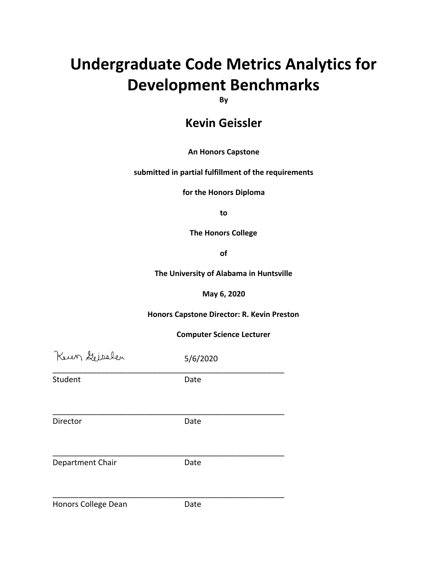# **Undergraduate Code Metrics Analytics for Development Benchmarks**

**By**

# **Kevin Geissler**

## **An Honors Capstone**

### **submitted in partial fulfillment of the requirements**

**for the Honors Diploma**

**to**

**The Honors College**

**of**

**The University of Alabama in Huntsville**

**May 6, 2020**

**Honors Capstone Director: R. Kevin Preston**

**Computer Science Lecturer**

| Keun Geisslen       | 5/6/2020 |  |
|---------------------|----------|--|
| Student             | Date     |  |
| Director            | Date     |  |
| Department Chair    | Date     |  |
| Honors College Dean | Date     |  |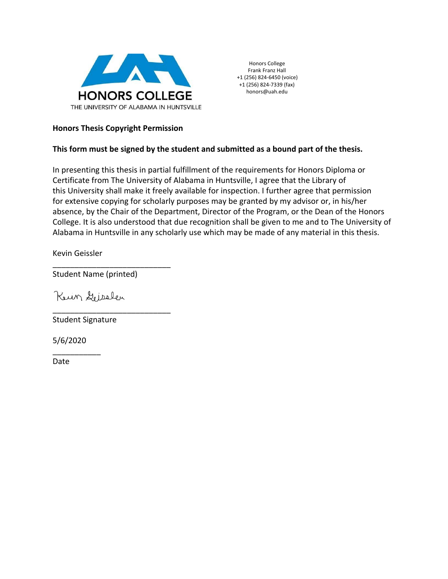

Honors College Frank Franz Hall +1 (256) 824-6450 (voice) +1 (256) 824-7339 (fax) honors@uah.edu

### **Honors Thesis Copyright Permission**

### **This form must be signed by the student and submitted as a bound part of the thesis.**

In presenting this thesis in partial fulfillment of the requirements for Honors Diploma or Certificate from The University of Alabama in Huntsville, I agree that the Library of this University shall make it freely available for inspection. I further agree that permission for extensive copying for scholarly purposes may be granted by my advisor or, in his/her absence, by the Chair of the Department, Director of the Program, or the Dean of the Honors College. It is also understood that due recognition shall be given to me and to The University of Alabama in Huntsville in any scholarly use which may be made of any material in this thesis.

Kevin Geissler

\_\_\_\_\_\_\_\_\_\_\_\_\_\_\_\_\_\_\_\_\_\_\_\_\_\_\_ Student Name (printed)

\_\_\_\_\_\_\_\_\_\_\_\_\_\_\_\_\_\_\_\_\_\_\_\_\_\_\_

Keun Geisslen

Student Signature

5/6/2020

\_\_\_\_\_\_\_\_\_\_\_

Date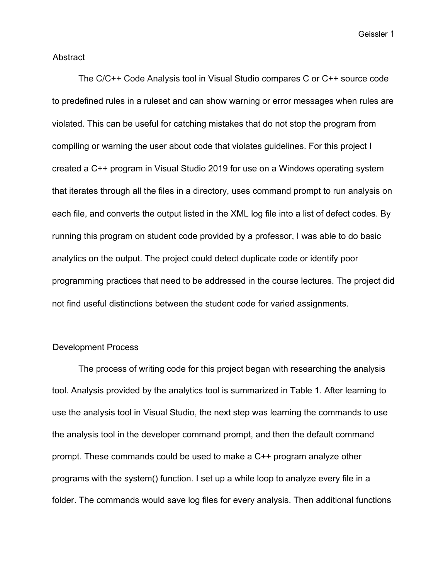Geissler 1

#### Abstract

The C/C++ Code Analysis tool in Visual Studio compares C or C++ source code to predefined rules in a ruleset and can show warning or error messages when rules are violated. This can be useful for catching mistakes that do not stop the program from compiling or warning the user about code that violates guidelines. For this project I created a C++ program in Visual Studio 2019 for use on a Windows operating system that iterates through all the files in a directory, uses command prompt to run analysis on each file, and converts the output listed in the XML log file into a list of defect codes. By running this program on student code provided by a professor, I was able to do basic analytics on the output. The project could detect duplicate code or identify poor programming practices that need to be addressed in the course lectures. The project did not find useful distinctions between the student code for varied assignments.

## Development Process

The process of writing code for this project began with researching the analysis tool. Analysis provided by the analytics tool is summarized in Table 1. After learning to use the analysis tool in Visual Studio, the next step was learning the commands to use the analysis tool in the developer command prompt, and then the default command prompt. These commands could be used to make a C++ program analyze other programs with the system() function. I set up a while loop to analyze every file in a folder. The commands would save log files for every analysis. Then additional functions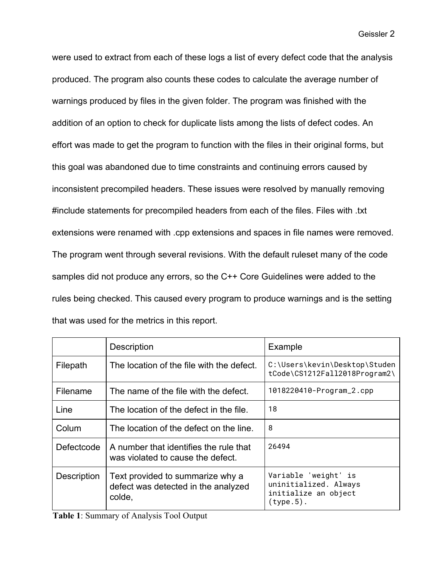were used to extract from each of these logs a list of every defect code that the analysis produced. The program also counts these codes to calculate the average number of warnings produced by files in the given folder. The program was finished with the addition of an option to check for duplicate lists among the lists of defect codes. An effort was made to get the program to function with the files in their original forms, but this goal was abandoned due to time constraints and continuing errors caused by inconsistent precompiled headers. These issues were resolved by manually removing #include statements for precompiled headers from each of the files. Files with .txt extensions were renamed with .cpp extensions and spaces in file names were removed. The program went through several revisions. With the default ruleset many of the code samples did not produce any errors, so the C++ Core Guidelines were added to the rules being checked. This caused every program to produce warnings and is the setting that was used for the metrics in this report.

|             | <b>Description</b>                                                                | Example                                                                               |
|-------------|-----------------------------------------------------------------------------------|---------------------------------------------------------------------------------------|
| Filepath    | The location of the file with the defect.                                         | C:\Users\kevin\Desktop\Studen<br>tCode\CS1212Fall2018Program2\                        |
| Filename    | The name of the file with the defect.                                             | 1018220410-Program_2.cpp                                                              |
| Line        | The location of the defect in the file.                                           | 18                                                                                    |
| Colum       | The location of the defect on the line.                                           | 8                                                                                     |
| Defectcode  | A number that identifies the rule that<br>was violated to cause the defect.       | 26494                                                                                 |
| Description | Text provided to summarize why a<br>defect was detected in the analyzed<br>colde, | Variable 'weight' is<br>uninitialized. Always<br>initialize an object<br>$(type.5)$ . |

**Table 1**: Summary of Analysis Tool Output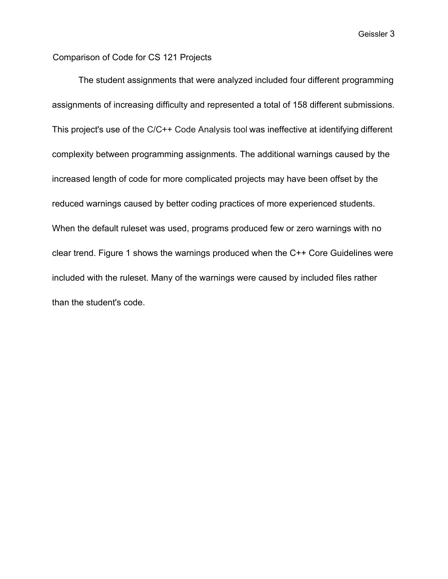Geissler 3

# Comparison of Code for CS 121 Projects

The student assignments that were analyzed included four different programming assignments of increasing difficulty and represented a total of 158 different submissions. This project's use of the C/C++ Code Analysis tool was ineffective at identifying different complexity between programming assignments. The additional warnings caused by the increased length of code for more complicated projects may have been offset by the reduced warnings caused by better coding practices of more experienced students. When the default ruleset was used, programs produced few or zero warnings with no clear trend. Figure 1 shows the warnings produced when the C++ Core Guidelines were included with the ruleset. Many of the warnings were caused by included files rather than the student's code.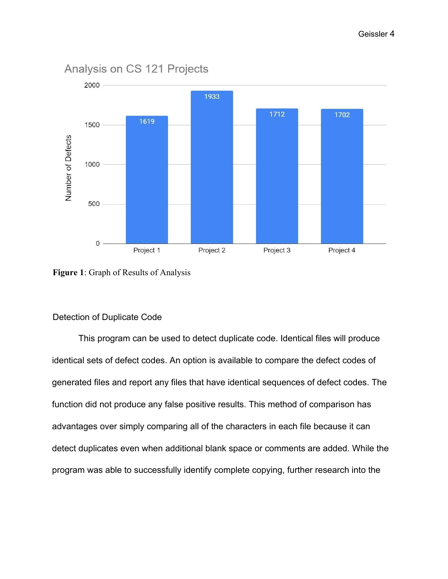

# Analysis on CS 121 Projects

**Figure 1**: Graph of Results of Analysis

## Detection of Duplicate Code

This program can be used to detect duplicate code. Identical files will produce identical sets of defect codes. An option is available to compare the defect codes of generated files and report any files that have identical sequences of defect codes. The function did not produce any false positive results. This method of comparison has advantages over simply comparing all of the characters in each file because it can detect duplicates even when additional blank space or comments are added. While the program was able to successfully identify complete copying, further research into the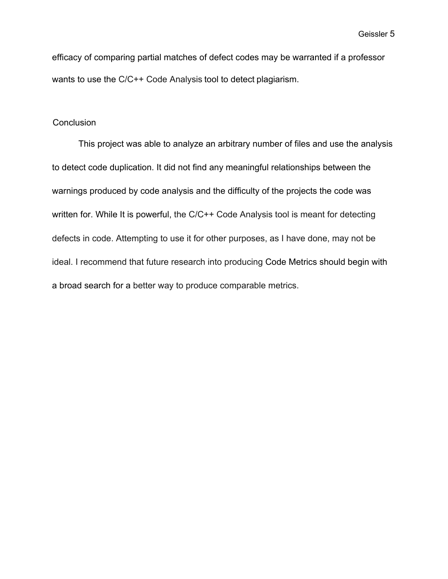efficacy of comparing partial matches of defect codes may be warranted if a professor wants to use the C/C++ Code Analysis tool to detect plagiarism.

### **Conclusion**

This project was able to analyze an arbitrary number of files and use the analysis to detect code duplication. It did not find any meaningful relationships between the warnings produced by code analysis and the difficulty of the projects the code was written for. While It is powerful, the C/C++ Code Analysis tool is meant for detecting defects in code. Attempting to use it for other purposes, as I have done, may not be ideal. I recommend that future research into producing Code Metrics should begin with a broad search for a better way to produce comparable metrics.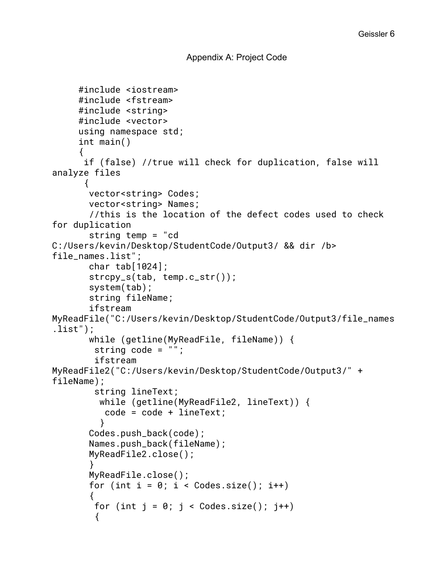```
Appendix A: Project Code
```

```
#include <iostream>
     #include <fstream>
     #include <string>
     #include <vector>
     using namespace std;
     int main()
     {
       if (false) //true will check for duplication, false will
analyze files
       {
        vector<string> Codes;
        vector<string> Names;
        //this is the location of the defect codes used to check
for duplication
        string temp = "cd
C:/Users/kevin/Desktop/StudentCode/Output3/ && dir /b>
file_names.list";
        char tab[1024];
        strcpy_s(tab, temp.c_str());
        system(tab);
        string fileName;
        ifstream
MyReadFile("C:/Users/kevin/Desktop/StudentCode/Output3/file_names
.list");
        while (getline(MyReadFile, fileName)) {
         string code = "";
         ifstream
MyReadFile2("C:/Users/kevin/Desktop/StudentCode/Output3/" +
fileName);
         string lineText;
          while (getline(MyReadFile2, lineText)) {
           code = code + lineText;
          }
        Codes.push_back(code);
        Names.push_back(fileName);
        MyReadFile2.close();
        }
        MyReadFile.close();
       for (int i = 0; i < Codes.size(); i++)
        {
        for (int j = 0; j < Codes.size(); j++) {
```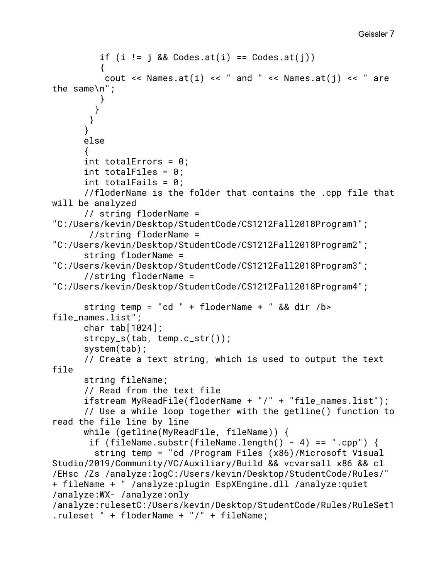```
Geissler 7
```

```
if (i \neq j \& Codes.at(i) == Codes.at(j)) {
          cout << Names.at(i) << " and " << Names.at(j) << " are
the same\n";
          }
         }
        }
       }
       else
      {
       int totalErrors = 0;
      int totalFiles = 0;
      int totalFails = 0:
       //floderName is the folder that contains the .cpp file that
will be analyzed
       // string floderName =
"C:/Users/kevin/Desktop/StudentCode/CS1212Fall2018Program1";
        //string floderName =
"C:/Users/kevin/Desktop/StudentCode/CS1212Fall2018Program2";
       string floderName =
"C:/Users/kevin/Desktop/StudentCode/CS1212Fall2018Program3";
       //string floderName =
"C:/Users/kevin/Desktop/StudentCode/CS1212Fall2018Program4";
      string temp = "cd " + floderName + " && dir /b>
file_names.list";
       char tab[1024];
       strcpy_s(tab, temp.c_str());
       system(tab);
       // Create a text string, which is used to output the text
file
       string fileName;
       // Read from the text file
       ifstream MyReadFile(floderName + "/" + "file_names.list");
       // Use a while loop together with the getline() function to
read the file line by line
       while (getline(MyReadFile, fileName)) {
       if (fileName.substr(fileName.length() - 4) == ".cpp") {
         string temp = "cd /Program Files (x86)/Microsoft Visual
Studio/2019/Community/VC/Auxiliary/Build && vcvarsall x86 && cl
/EHsc /Zs /analyze:logC:/Users/kevin/Desktop/StudentCode/Rules/"
+ fileName + " /analyze:plugin EspXEngine.dll /analyze:quiet
/analyze:WX- /analyze:only
/analyze:rulesetC:/Users/kevin/Desktop/StudentCode/Rules/RuleSet1
.ruleset " + floderName + "/" + fileName;
```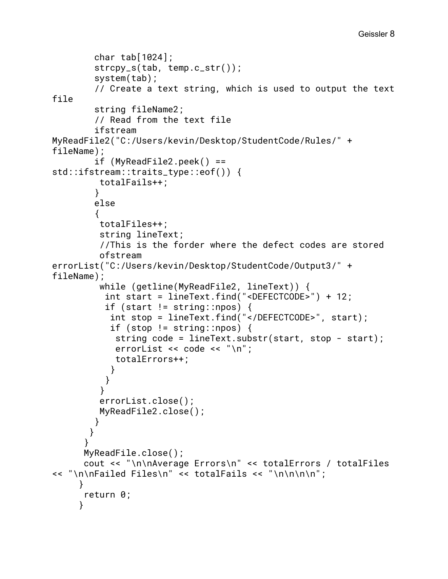```
 char tab[1024];
         strcpy_s(tab, temp.c_str());
         system(tab);
         // Create a text string, which is used to output the text
file
         string fileName2;
         // Read from the text file
         ifstream
MyReadFile2("C:/Users/kevin/Desktop/StudentCode/Rules/" +
fileName);
        if (MyReadFile2,peek() ==std::ifstream::traits_type::eof()) {
          totalFails++;
         }
         else
         {
          totalFiles++;
          string lineText;
          //This is the forder where the defect codes are stored
          ofstream
errorList("C:/Users/kevin/Desktop/StudentCode/Output3/" +
fileName);
          while (getline(MyReadFile2, lineText)) {
           int start = lineText.find("<DEFECTCODE>") + 12;
          if (start != string::npos) {
            int stop = lineText.find("</DEFECTCODE>", start);
           if (stop != string::npos) {
             string code = lineText.substr(start, stop - start);
            errorList << code << "\n";
             totalErrors++;
            }
           }
          }
          errorList.close();
          MyReadFile2.close();
         }
       }
      }
       MyReadFile.close();
       cout << "\n\nAverage Errors\n" << totalErrors / totalFiles
<< "\n\nFailed Files\n" << totalFails << "\n\n\n\n";
     }
       return 0;
     }
```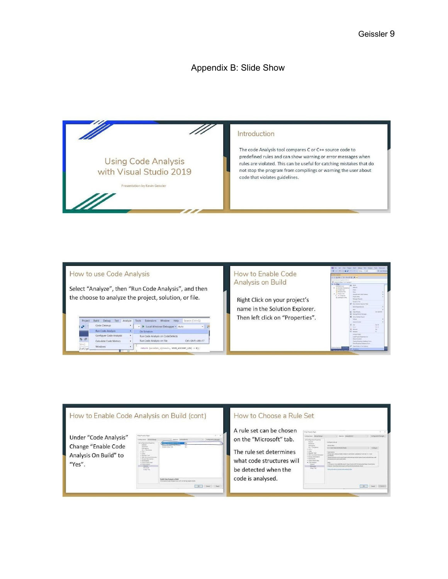# Appendix B: Slide Show



#### How to use Code Analysis

Select "Analyze", then "Run Code Analysis", and then the choose to analyze the project, solution, or file.

| Project   | Debug<br>Build<br>Test<br>Analyze | Search (Ctrl+Q)<br>Help<br>Extensions<br>Window<br>Tools |
|-----------|-----------------------------------|----------------------------------------------------------|
| <b>SP</b> | Code Cleanup<br>٠                 | In Local Windows Debugger - Auto                         |
|           | Run Code Analysis<br>٠            | On Solution                                              |
| 50        | ×<br>Configure Code Analysis      | Run Code Analysis on CodeDefects                         |
|           | Calculate Code Metrics<br>٠       | $Ctri + Shift + Alt + F7$<br>Run Code Analysis on File   |
| (triad)   | <b>Windows</b><br>٠               |                                                          |

#### How to Enable Code **Analysis on Build**

Right Click on your project's name in the Solution Explorer. Then left click on "Properties".

|                                                     | <b>Die G. String and The Control Dealers</b> Prints | <b>P. Linky Min</b> |
|-----------------------------------------------------|-----------------------------------------------------|---------------------|
| <b>Live Search</b>                                  |                                                     |                     |
| ○ の 配 い 「ヒーセ が 切 」 新 →<br>×                         |                                                     |                     |
| A laterature Equipment & Min. 4.                    |                                                     |                     |
| <b>C</b> Science HCar (1-411 popul)<br><b>Linda</b> |                                                     |                     |
| <b>16 futures</b>                                   | Δ<br><b>Sold</b><br>Selected                        |                     |
| 30 Eventur Doveren<br>25. Health Time               | Chief 1                                             |                     |
| all Receive Dies                                    | <b>Sec</b>                                          |                     |
| <b>Contraction</b>                                  | Analyje wid-Corp-Creway                             | $\vdots$            |
| 9. No. of Section<br>C tarksprenning                | <b><i>Reservation</i></b>                           |                     |
|                                                     | <b>Returned, Pickwills</b>                          |                     |
|                                                     | Simula An 1642                                      |                     |
|                                                     | <b>Real Schulzer Equipment View</b>                 |                     |
|                                                     | $\frac{1}{2}$<br>Build Departmention                |                     |
|                                                     | mating for \$10<br>ai4                              | n.                  |
|                                                     | Class Weters                                        | Continued           |
|                                                     | Manage Hudel Reviewer.                              |                     |
|                                                     | Set of Startup House?                               |                     |
|                                                     | <b>Telaid</b>                                       |                     |
|                                                     | Source Council                                      |                     |
|                                                     | Call:<br>x                                          | Orisk               |
|                                                     | Total Co.                                           | 17mm                |
|                                                     | <b>Building</b>                                     | <b>IN</b>           |
|                                                     | e<br>Returns                                        | $^{16}$             |
|                                                     | <b>Growt Police</b>                                 |                     |
|                                                     | Load Project Demendencies                           |                     |
|                                                     | <b>Bescare Schussen</b>                             |                     |
|                                                     | Disnie Branne Database from                         |                     |
|                                                     | Class Wearing Company Energy                        |                     |
| <b>Allon Switcher</b>                               | Copy hirder in the England                          |                     |
|                                                     | <b><i><u>Section Let</u></i></b>                    |                     |

#### How to Enable Code Analysis on Build (cont) How to Choose a Rule Set A rule set can be chosen Under "Code Analysis" on the "Microsoft" tab. Change "Enable Code The rule set determines Analysis On Build" to what code structures will "Yes". be detected when the code is analysed.  $\begin{tabular}{|c|c|c|c|c|} \hline & \text{osc}& \text{Cone} & \text{Aon} \\\hline \end{tabular}$  $\begin{tabular}{|c|c|c|c|} \hline & or & one & one \\ \hline \hline \end{tabular}$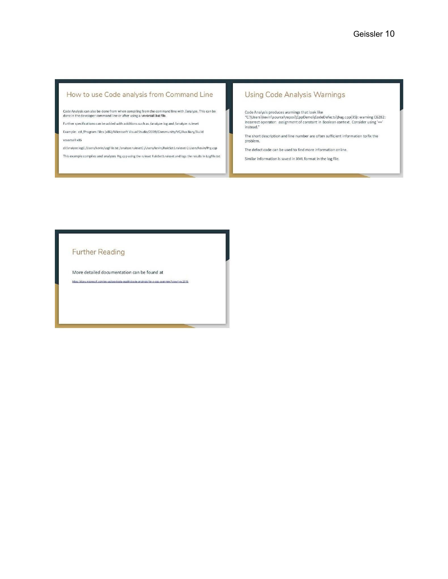#### How to use Code analysis from Command Line

Code Analysis can also be done from when compiling from the command line with /analyze. This can be done in the developer command line or after using a vovarsall bat file.

Further specifications can be added with additions such as /analyze:log and /analyze:ruleset

Example: cd /Program Files (x86)/Microsoft Visual Studio/2019/Community/VC/Auxiliary/Build vcvarsall x86

cl/analyze:logC:/Users/kevin/LogFile.txt/analyze:rulesetC:/Users/kevin/RuleSet1.rulesetC:Users/kevin/Prg.cpp

This example compiles and analyzes Prg.cpp using the ruleset RuleSet1.ruleset and logs the results in LogFile.txt

## **Using Code Analysis Warnings**

Code Analysis produces warnings that look like<br>"C:\Users\kevin\source\repos\CppDemo\CodeDefects\Bug.cpp(35): warning C6282:<br>Incorrect operator: assignment of constant in Boolean context. Consider using '=='  $\mathsf{instead}.''$ 

The short description and line number are often sufficient information to fix the problem.

The defect code can be used to find more information online.

Similar information is saved in XML format in the log file.

#### **Further Reading**

More detailed documentation can be found at

int com/or view?view=vs-2019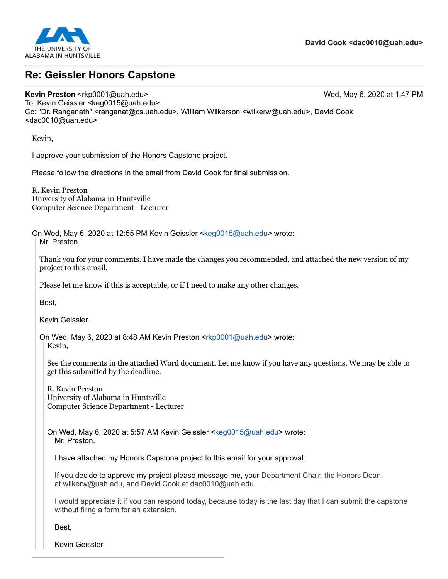

# **Re: Geissler Honors Capstone**

#### **Kevin Preston** <rkp0001@uah.edu> Wed, May 6, 2020 at 1:47 PM

To: Kevin Geissler <keg0015@uah.edu> Cc: "Dr. Ranganath" <ranganat@cs.uah.edu>, William Wilkerson <wilkerw@uah.edu>, David Cook <dac0010@uah.edu>

Kevin,

I approve your submission of the Honors Capstone project.

Please follow the directions in the email from David Cook for final submission.

R. Kevin Preston University of Alabama in Huntsville Computer Science Department - Lecturer

On Wed, May 6, 2020 at 12:55 PM Kevin Geissler <[keg0015@uah.edu>](mailto:keg0015@uah.edu) wrote: Mr. Preston,

Thank you for your comments. I have made the changes you recommended, and attached the new version of my project to this email.

Please let me know if this is acceptable, or if I need to make any other changes.

Best,

Kevin Geissler

On Wed, May 6, 2020 at 8:48 AM Kevin Preston <[rkp0001@uah.edu>](mailto:rkp0001@uah.edu) wrote: Kevin,

See the comments in the attached Word document. Let me know if you have any questions. We may be able to get this submitted by the deadline.

R. Kevin Preston University of Alabama in Huntsville Computer Science Department - Lecturer

On Wed, May 6, 2020 at 5:57 AM Kevin Geissler <[keg0015@uah.edu>](mailto:keg0015@uah.edu) wrote: Mr. Preston,

I have attached my Honors Capstone project to this email for your approval.

If you decide to approve my project please message me, your Department Chair, the Honors Dean at [wilkerw@uah.edu,](mailto:wilkerw@uah.edu) and David Cook at [dac0010@uah.edu](mailto:dac0010@uah.edu).

I would appreciate it if you can respond today, because today is the last day that I can submit the capstone without filing a form for an extension.

Best,

Kevin Geissler